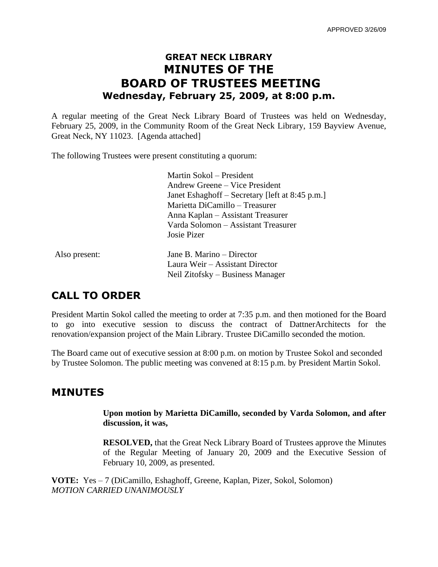# **GREAT NECK LIBRARY MINUTES OF THE BOARD OF TRUSTEES MEETING Wednesday, February 25, 2009, at 8:00 p.m.**

A regular meeting of the Great Neck Library Board of Trustees was held on Wednesday, February 25, 2009, in the Community Room of the Great Neck Library, 159 Bayview Avenue, Great Neck, NY 11023. [Agenda attached]

The following Trustees were present constituting a quorum:

Martin Sokol – President Andrew Greene – Vice President Janet Eshaghoff – Secretary [left at 8:45 p.m.] Marietta DiCamillo – Treasurer Anna Kaplan – Assistant Treasurer Varda Solomon – Assistant Treasurer Josie Pizer

Also present: Jane B. Marino – Director

Laura Weir – Assistant Director Neil Zitofsky – Business Manager

## **CALL TO ORDER**

President Martin Sokol called the meeting to order at 7:35 p.m. and then motioned for the Board to go into executive session to discuss the contract of DattnerArchitects for the renovation/expansion project of the Main Library. Trustee DiCamillo seconded the motion.

The Board came out of executive session at 8:00 p.m. on motion by Trustee Sokol and seconded by Trustee Solomon. The public meeting was convened at 8:15 p.m. by President Martin Sokol.

## **MINUTES**

**Upon motion by Marietta DiCamillo, seconded by Varda Solomon, and after discussion, it was,**

**RESOLVED,** that the Great Neck Library Board of Trustees approve the Minutes of the Regular Meeting of January 20, 2009 and the Executive Session of February 10, 2009, as presented.

**VOTE:** Yes – 7 (DiCamillo, Eshaghoff, Greene, Kaplan, Pizer, Sokol, Solomon) *MOTION CARRIED UNANIMOUSLY*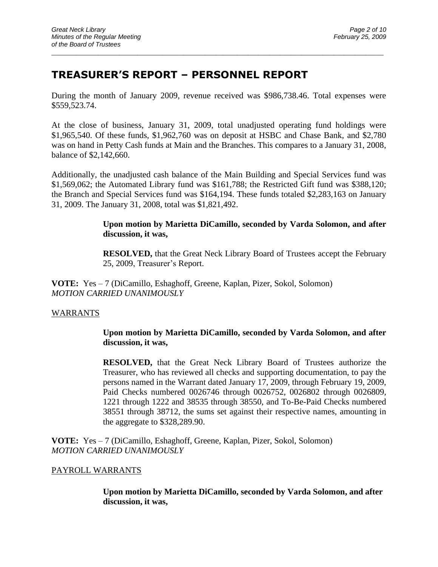## **TREASURER'S REPORT – PERSONNEL REPORT**

During the month of January 2009, revenue received was \$986,738.46. Total expenses were \$559,523.74.

 $\_$  ,  $\_$  ,  $\_$  ,  $\_$  ,  $\_$  ,  $\_$  ,  $\_$  ,  $\_$  ,  $\_$  ,  $\_$  ,  $\_$  ,  $\_$  ,  $\_$  ,  $\_$  ,  $\_$  ,  $\_$  ,  $\_$  ,  $\_$  ,  $\_$  ,  $\_$  ,  $\_$  ,  $\_$  ,  $\_$  ,  $\_$  ,  $\_$  ,  $\_$  ,  $\_$  ,  $\_$  ,  $\_$  ,  $\_$  ,  $\_$  ,  $\_$  ,  $\_$  ,  $\_$  ,  $\_$  ,  $\_$  ,  $\_$  ,

At the close of business, January 31, 2009, total unadjusted operating fund holdings were \$1,965,540. Of these funds, \$1,962,760 was on deposit at HSBC and Chase Bank, and \$2,780 was on hand in Petty Cash funds at Main and the Branches. This compares to a January 31, 2008, balance of \$2,142,660.

Additionally, the unadjusted cash balance of the Main Building and Special Services fund was \$1,569,062; the Automated Library fund was \$161,788; the Restricted Gift fund was \$388,120; the Branch and Special Services fund was \$164,194. These funds totaled \$2,283,163 on January 31, 2009. The January 31, 2008, total was \$1,821,492.

#### **Upon motion by Marietta DiCamillo, seconded by Varda Solomon, and after discussion, it was,**

**RESOLVED,** that the Great Neck Library Board of Trustees accept the February 25, 2009, Treasurer's Report.

**VOTE:** Yes – 7 (DiCamillo, Eshaghoff, Greene, Kaplan, Pizer, Sokol, Solomon) *MOTION CARRIED UNANIMOUSLY*

#### WARRANTS

**Upon motion by Marietta DiCamillo, seconded by Varda Solomon, and after discussion, it was,**

**RESOLVED,** that the Great Neck Library Board of Trustees authorize the Treasurer, who has reviewed all checks and supporting documentation, to pay the persons named in the Warrant dated January 17, 2009, through February 19, 2009, Paid Checks numbered 0026746 through 0026752, 0026802 through 0026809, 1221 through 1222 and 38535 through 38550, and To-Be-Paid Checks numbered 38551 through 38712, the sums set against their respective names, amounting in the aggregate to \$328,289.90.

**VOTE:** Yes – 7 (DiCamillo, Eshaghoff, Greene, Kaplan, Pizer, Sokol, Solomon) *MOTION CARRIED UNANIMOUSLY*

#### PAYROLL WARRANTS

**Upon motion by Marietta DiCamillo, seconded by Varda Solomon, and after discussion, it was,**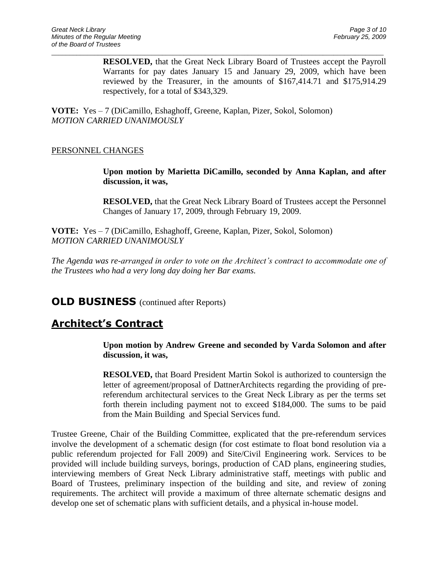**RESOLVED,** that the Great Neck Library Board of Trustees accept the Payroll Warrants for pay dates January 15 and January 29, 2009, which have been reviewed by the Treasurer, in the amounts of \$167,414.71 and \$175,914.29 respectively, for a total of \$343,329.

 $\_$  ,  $\_$  ,  $\_$  ,  $\_$  ,  $\_$  ,  $\_$  ,  $\_$  ,  $\_$  ,  $\_$  ,  $\_$  ,  $\_$  ,  $\_$  ,  $\_$  ,  $\_$  ,  $\_$  ,  $\_$  ,  $\_$  ,  $\_$  ,  $\_$  ,  $\_$  ,  $\_$  ,  $\_$  ,  $\_$  ,  $\_$  ,  $\_$  ,  $\_$  ,  $\_$  ,  $\_$  ,  $\_$  ,  $\_$  ,  $\_$  ,  $\_$  ,  $\_$  ,  $\_$  ,  $\_$  ,  $\_$  ,  $\_$  ,

**VOTE:** Yes – 7 (DiCamillo, Eshaghoff, Greene, Kaplan, Pizer, Sokol, Solomon) *MOTION CARRIED UNANIMOUSLY*

#### PERSONNEL CHANGES

**Upon motion by Marietta DiCamillo, seconded by Anna Kaplan, and after discussion, it was,**

**RESOLVED,** that the Great Neck Library Board of Trustees accept the Personnel Changes of January 17, 2009, through February 19, 2009.

**VOTE:** Yes – 7 (DiCamillo, Eshaghoff, Greene, Kaplan, Pizer, Sokol, Solomon) *MOTION CARRIED UNANIMOUSLY*

*The Agenda was re-arranged in order to vote on the Architect's contract to accommodate one of the Trustees who had a very long day doing her Bar exams.*

**OLD BUSINESS** (continued after Reports)

# **Architect's Contract**

**Upon motion by Andrew Greene and seconded by Varda Solomon and after discussion, it was,**

**RESOLVED,** that Board President Martin Sokol is authorized to countersign the letter of agreement/proposal of DattnerArchitects regarding the providing of prereferendum architectural services to the Great Neck Library as per the terms set forth therein including payment not to exceed \$184,000. The sums to be paid from the Main Building and Special Services fund.

Trustee Greene, Chair of the Building Committee, explicated that the pre-referendum services involve the development of a schematic design (for cost estimate to float bond resolution via a public referendum projected for Fall 2009) and Site/Civil Engineering work. Services to be provided will include building surveys, borings, production of CAD plans, engineering studies, interviewing members of Great Neck Library administrative staff, meetings with public and Board of Trustees, preliminary inspection of the building and site, and review of zoning requirements. The architect will provide a maximum of three alternate schematic designs and develop one set of schematic plans with sufficient details, and a physical in-house model.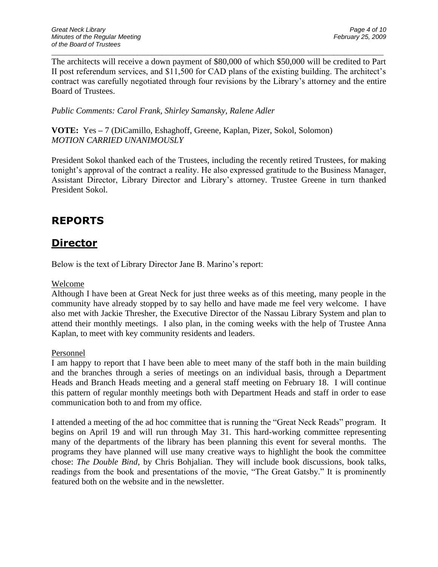The architects will receive a down payment of \$80,000 of which \$50,000 will be credited to Part II post referendum services, and \$11,500 for CAD plans of the existing building. The architect's contract was carefully negotiated through four revisions by the Library's attorney and the entire Board of Trustees.

 $\_$  ,  $\_$  ,  $\_$  ,  $\_$  ,  $\_$  ,  $\_$  ,  $\_$  ,  $\_$  ,  $\_$  ,  $\_$  ,  $\_$  ,  $\_$  ,  $\_$  ,  $\_$  ,  $\_$  ,  $\_$  ,  $\_$  ,  $\_$  ,  $\_$  ,  $\_$  ,  $\_$  ,  $\_$  ,  $\_$  ,  $\_$  ,  $\_$  ,  $\_$  ,  $\_$  ,  $\_$  ,  $\_$  ,  $\_$  ,  $\_$  ,  $\_$  ,  $\_$  ,  $\_$  ,  $\_$  ,  $\_$  ,  $\_$  ,

*Public Comments: Carol Frank, Shirley Samansky, Ralene Adler*

**VOTE:** Yes **–** 7 (DiCamillo, Eshaghoff, Greene, Kaplan, Pizer, Sokol, Solomon) *MOTION CARRIED UNANIMOUSLY*

President Sokol thanked each of the Trustees, including the recently retired Trustees, for making tonight's approval of the contract a reality. He also expressed gratitude to the Business Manager, Assistant Director, Library Director and Library's attorney. Trustee Greene in turn thanked President Sokol.

# **REPORTS**

# **Director**

Below is the text of Library Director Jane B. Marino's report:

#### Welcome

Although I have been at Great Neck for just three weeks as of this meeting, many people in the community have already stopped by to say hello and have made me feel very welcome. I have also met with Jackie Thresher, the Executive Director of the Nassau Library System and plan to attend their monthly meetings. I also plan, in the coming weeks with the help of Trustee Anna Kaplan, to meet with key community residents and leaders.

#### Personnel

I am happy to report that I have been able to meet many of the staff both in the main building and the branches through a series of meetings on an individual basis, through a Department Heads and Branch Heads meeting and a general staff meeting on February 18. I will continue this pattern of regular monthly meetings both with Department Heads and staff in order to ease communication both to and from my office.

I attended a meeting of the ad hoc committee that is running the "Great Neck Reads" program. It begins on April 19 and will run through May 31. This hard-working committee representing many of the departments of the library has been planning this event for several months. The programs they have planned will use many creative ways to highlight the book the committee chose: *The Double Bind,* by Chris Bohjalian. They will include book discussions, book talks, readings from the book and presentations of the movie, "The Great Gatsby." It is prominently featured both on the website and in the newsletter.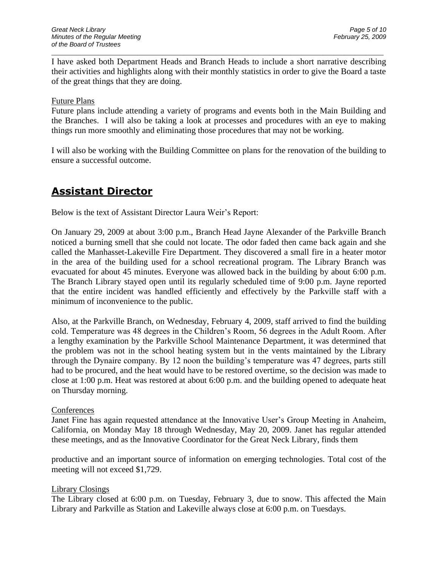I have asked both Department Heads and Branch Heads to include a short narrative describing their activities and highlights along with their monthly statistics in order to give the Board a taste of the great things that they are doing.

 $\_$  ,  $\_$  ,  $\_$  ,  $\_$  ,  $\_$  ,  $\_$  ,  $\_$  ,  $\_$  ,  $\_$  ,  $\_$  ,  $\_$  ,  $\_$  ,  $\_$  ,  $\_$  ,  $\_$  ,  $\_$  ,  $\_$  ,  $\_$  ,  $\_$  ,  $\_$  ,  $\_$  ,  $\_$  ,  $\_$  ,  $\_$  ,  $\_$  ,  $\_$  ,  $\_$  ,  $\_$  ,  $\_$  ,  $\_$  ,  $\_$  ,  $\_$  ,  $\_$  ,  $\_$  ,  $\_$  ,  $\_$  ,  $\_$  ,

#### Future Plans

Future plans include attending a variety of programs and events both in the Main Building and the Branches. I will also be taking a look at processes and procedures with an eye to making things run more smoothly and eliminating those procedures that may not be working.

I will also be working with the Building Committee on plans for the renovation of the building to ensure a successful outcome.

# **Assistant Director**

Below is the text of Assistant Director Laura Weir's Report:

On January 29, 2009 at about 3:00 p.m., Branch Head Jayne Alexander of the Parkville Branch noticed a burning smell that she could not locate. The odor faded then came back again and she called the Manhasset-Lakeville Fire Department. They discovered a small fire in a heater motor in the area of the building used for a school recreational program. The Library Branch was evacuated for about 45 minutes. Everyone was allowed back in the building by about 6:00 p.m. The Branch Library stayed open until its regularly scheduled time of 9:00 p.m. Jayne reported that the entire incident was handled efficiently and effectively by the Parkville staff with a minimum of inconvenience to the public.

Also, at the Parkville Branch, on Wednesday, February 4, 2009, staff arrived to find the building cold. Temperature was 48 degrees in the Children's Room, 56 degrees in the Adult Room. After a lengthy examination by the Parkville School Maintenance Department, it was determined that the problem was not in the school heating system but in the vents maintained by the Library through the Dynaire company. By 12 noon the building's temperature was 47 degrees, parts still had to be procured, and the heat would have to be restored overtime, so the decision was made to close at 1:00 p.m. Heat was restored at about 6:00 p.m. and the building opened to adequate heat on Thursday morning.

#### **Conferences**

Janet Fine has again requested attendance at the Innovative User's Group Meeting in Anaheim, California, on Monday May 18 through Wednesday, May 20, 2009. Janet has regular attended these meetings, and as the Innovative Coordinator for the Great Neck Library, finds them

productive and an important source of information on emerging technologies. Total cost of the meeting will not exceed \$1,729.

#### Library Closings

The Library closed at 6:00 p.m. on Tuesday, February 3, due to snow. This affected the Main Library and Parkville as Station and Lakeville always close at 6:00 p.m. on Tuesdays.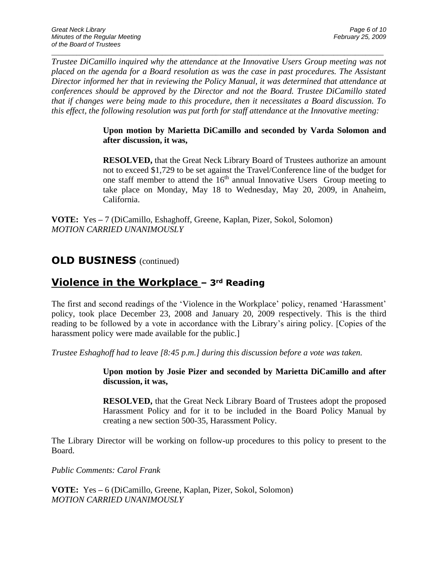*Trustee DiCamillo inquired why the attendance at the Innovative Users Group meeting was not placed on the agenda for a Board resolution as was the case in past procedures. The Assistant Director informed her that in reviewing the Policy Manual, it was determined that attendance at conferences should be approved by the Director and not the Board. Trustee DiCamillo stated that if changes were being made to this procedure, then it necessitates a Board discussion. To this effect, the following resolution was put forth for staff attendance at the Innovative meeting:*

 $\_$  ,  $\_$  ,  $\_$  ,  $\_$  ,  $\_$  ,  $\_$  ,  $\_$  ,  $\_$  ,  $\_$  ,  $\_$  ,  $\_$  ,  $\_$  ,  $\_$  ,  $\_$  ,  $\_$  ,  $\_$  ,  $\_$  ,  $\_$  ,  $\_$  ,  $\_$  ,  $\_$  ,  $\_$  ,  $\_$  ,  $\_$  ,  $\_$  ,  $\_$  ,  $\_$  ,  $\_$  ,  $\_$  ,  $\_$  ,  $\_$  ,  $\_$  ,  $\_$  ,  $\_$  ,  $\_$  ,  $\_$  ,  $\_$  ,

### **Upon motion by Marietta DiCamillo and seconded by Varda Solomon and after discussion, it was,**

**RESOLVED,** that the Great Neck Library Board of Trustees authorize an amount not to exceed \$1,729 to be set against the Travel/Conference line of the budget for one staff member to attend the  $16<sup>th</sup>$  annual Innovative Users Group meeting to take place on Monday, May 18 to Wednesday, May 20, 2009, in Anaheim, California.

**VOTE:** Yes **–** 7 (DiCamillo, Eshaghoff, Greene, Kaplan, Pizer, Sokol, Solomon) *MOTION CARRIED UNANIMOUSLY*

## **OLD BUSINESS** (continued)

# **Violence in the Workplace – 3rd Reading**

The first and second readings of the 'Violence in the Workplace' policy, renamed 'Harassment' policy, took place December 23, 2008 and January 20, 2009 respectively. This is the third reading to be followed by a vote in accordance with the Library's airing policy. [Copies of the harassment policy were made available for the public.

*Trustee Eshaghoff had to leave [8:45 p.m.] during this discussion before a vote was taken.* 

#### **Upon motion by Josie Pizer and seconded by Marietta DiCamillo and after discussion, it was,**

**RESOLVED,** that the Great Neck Library Board of Trustees adopt the proposed Harassment Policy and for it to be included in the Board Policy Manual by creating a new section 500-35, Harassment Policy.

The Library Director will be working on follow-up procedures to this policy to present to the Board.

*Public Comments: Carol Frank*

**VOTE:** Yes **–** 6 (DiCamillo, Greene, Kaplan, Pizer, Sokol, Solomon) *MOTION CARRIED UNANIMOUSLY*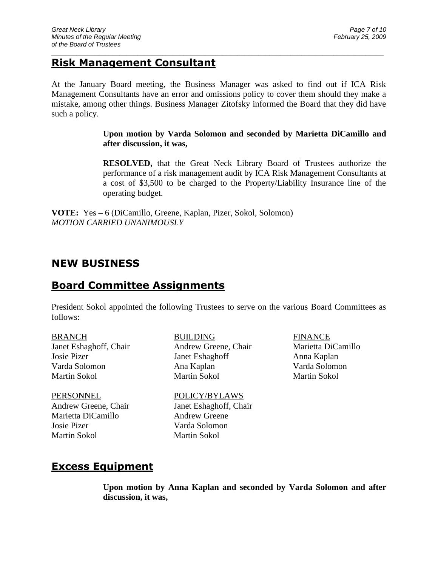## **Risk Management Consultant**

At the January Board meeting, the Business Manager was asked to find out if ICA Risk Management Consultants have an error and omissions policy to cover them should they make a mistake, among other things. Business Manager Zitofsky informed the Board that they did have such a policy.

 $\_$  ,  $\_$  ,  $\_$  ,  $\_$  ,  $\_$  ,  $\_$  ,  $\_$  ,  $\_$  ,  $\_$  ,  $\_$  ,  $\_$  ,  $\_$  ,  $\_$  ,  $\_$  ,  $\_$  ,  $\_$  ,  $\_$  ,  $\_$  ,  $\_$  ,  $\_$  ,  $\_$  ,  $\_$  ,  $\_$  ,  $\_$  ,  $\_$  ,  $\_$  ,  $\_$  ,  $\_$  ,  $\_$  ,  $\_$  ,  $\_$  ,  $\_$  ,  $\_$  ,  $\_$  ,  $\_$  ,  $\_$  ,  $\_$  ,

**Upon motion by Varda Solomon and seconded by Marietta DiCamillo and after discussion, it was,**

**RESOLVED,** that the Great Neck Library Board of Trustees authorize the performance of a risk management audit by ICA Risk Management Consultants at a cost of \$3,500 to be charged to the Property/Liability Insurance line of the operating budget.

**VOTE:** Yes **–** 6 (DiCamillo, Greene, Kaplan, Pizer, Sokol, Solomon) *MOTION CARRIED UNANIMOUSLY*

# **NEW BUSINESS**

## **Board Committee Assignments**

President Sokol appointed the following Trustees to serve on the various Board Committees as follows:

PERSONNEL POLICY/BYLAWS Marietta DiCamillo Andrew Greene Josie Pizer Varda Solomon Martin Sokol Martin Sokol

BRANCH BUILDING FINANCE Janet Eshaghoff, Chair Andrew Greene, Chair Marietta DiCamillo Josie Pizer Janet Eshaghoff Anna Kaplan Varda Solomon Ana Kaplan Varda Solomon Martin Sokol Martin Sokol Martin Sokol

Andrew Greene, Chair Janet Eshaghoff, Chair

## **Excess Equipment**

**Upon motion by Anna Kaplan and seconded by Varda Solomon and after discussion, it was,**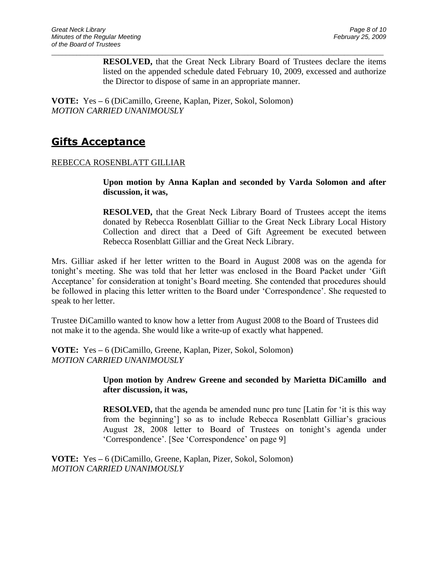**RESOLVED,** that the Great Neck Library Board of Trustees declare the items listed on the appended schedule dated February 10, 2009, excessed and authorize the Director to dispose of same in an appropriate manner.

 $\_$  ,  $\_$  ,  $\_$  ,  $\_$  ,  $\_$  ,  $\_$  ,  $\_$  ,  $\_$  ,  $\_$  ,  $\_$  ,  $\_$  ,  $\_$  ,  $\_$  ,  $\_$  ,  $\_$  ,  $\_$  ,  $\_$  ,  $\_$  ,  $\_$  ,  $\_$  ,  $\_$  ,  $\_$  ,  $\_$  ,  $\_$  ,  $\_$  ,  $\_$  ,  $\_$  ,  $\_$  ,  $\_$  ,  $\_$  ,  $\_$  ,  $\_$  ,  $\_$  ,  $\_$  ,  $\_$  ,  $\_$  ,  $\_$  ,

**VOTE:** Yes **–** 6 (DiCamillo, Greene, Kaplan, Pizer, Sokol, Solomon) *MOTION CARRIED UNANIMOUSLY*

# **Gifts Acceptance**

### REBECCA ROSENBLATT GILLIAR

**Upon motion by Anna Kaplan and seconded by Varda Solomon and after discussion, it was,**

**RESOLVED,** that the Great Neck Library Board of Trustees accept the items donated by Rebecca Rosenblatt Gilliar to the Great Neck Library Local History Collection and direct that a Deed of Gift Agreement be executed between Rebecca Rosenblatt Gilliar and the Great Neck Library.

Mrs. Gilliar asked if her letter written to the Board in August 2008 was on the agenda for tonight's meeting. She was told that her letter was enclosed in the Board Packet under 'Gift Acceptance' for consideration at tonight's Board meeting. She contended that procedures should be followed in placing this letter written to the Board under 'Correspondence'. She requested to speak to her letter.

Trustee DiCamillo wanted to know how a letter from August 2008 to the Board of Trustees did not make it to the agenda. She would like a write-up of exactly what happened.

**VOTE:** Yes **–** 6 (DiCamillo, Greene, Kaplan, Pizer, Sokol, Solomon) *MOTION CARRIED UNANIMOUSLY*

> **Upon motion by Andrew Greene and seconded by Marietta DiCamillo and after discussion, it was,**

> **RESOLVED,** that the agenda be amended nunc pro tunc [Latin for 'it is this way from the beginning'] so as to include Rebecca Rosenblatt Gilliar's gracious August 28, 2008 letter to Board of Trustees on tonight's agenda under 'Correspondence'. [See 'Correspondence' on page 9]

**VOTE:** Yes **–** 6 (DiCamillo, Greene, Kaplan, Pizer, Sokol, Solomon) *MOTION CARRIED UNANIMOUSLY*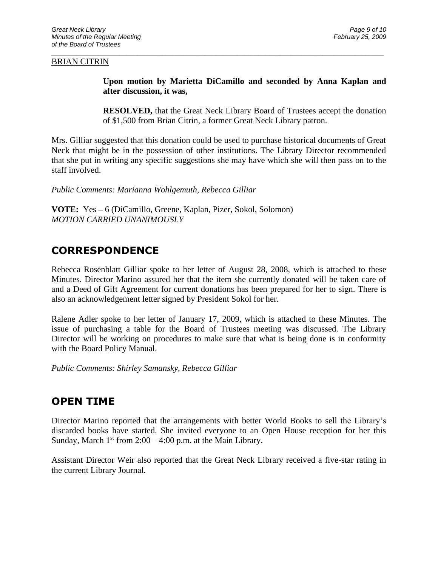#### BRIAN CITRIN

**Upon motion by Marietta DiCamillo and seconded by Anna Kaplan and after discussion, it was,**

**RESOLVED,** that the Great Neck Library Board of Trustees accept the donation of \$1,500 from Brian Citrin, a former Great Neck Library patron.

Mrs. Gilliar suggested that this donation could be used to purchase historical documents of Great Neck that might be in the possession of other institutions. The Library Director recommended that she put in writing any specific suggestions she may have which she will then pass on to the staff involved.

 $\_$  ,  $\_$  ,  $\_$  ,  $\_$  ,  $\_$  ,  $\_$  ,  $\_$  ,  $\_$  ,  $\_$  ,  $\_$  ,  $\_$  ,  $\_$  ,  $\_$  ,  $\_$  ,  $\_$  ,  $\_$  ,  $\_$  ,  $\_$  ,  $\_$  ,  $\_$  ,  $\_$  ,  $\_$  ,  $\_$  ,  $\_$  ,  $\_$  ,  $\_$  ,  $\_$  ,  $\_$  ,  $\_$  ,  $\_$  ,  $\_$  ,  $\_$  ,  $\_$  ,  $\_$  ,  $\_$  ,  $\_$  ,  $\_$  ,

*Public Comments: Marianna Wohlgemuth, Rebecca Gilliar*

**VOTE:** Yes **–** 6 (DiCamillo, Greene, Kaplan, Pizer, Sokol, Solomon) *MOTION CARRIED UNANIMOUSLY*

## **CORRESPONDENCE**

Rebecca Rosenblatt Gilliar spoke to her letter of August 28, 2008, which is attached to these Minutes. Director Marino assured her that the item she currently donated will be taken care of and a Deed of Gift Agreement for current donations has been prepared for her to sign. There is also an acknowledgement letter signed by President Sokol for her.

Ralene Adler spoke to her letter of January 17, 2009, which is attached to these Minutes. The issue of purchasing a table for the Board of Trustees meeting was discussed. The Library Director will be working on procedures to make sure that what is being done is in conformity with the Board Policy Manual.

*Public Comments: Shirley Samansky, Rebecca Gilliar*

## **OPEN TIME**

Director Marino reported that the arrangements with better World Books to sell the Library's discarded books have started. She invited everyone to an Open House reception for her this Sunday, March  $1<sup>st</sup>$  from 2:00 – 4:00 p.m. at the Main Library.

Assistant Director Weir also reported that the Great Neck Library received a five-star rating in the current Library Journal.